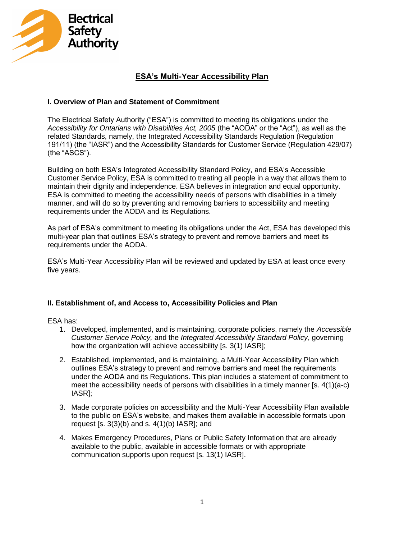

# **ESA's Multi-Year Accessibility Plan**

## **I. Overview of Plan and Statement of Commitment**

The Electrical Safety Authority ("ESA") is committed to meeting its obligations under the *Accessibility for Ontarians with Disabilities Act, 2005* (the "AODA" or the "Act"), as well as the related Standards, namely, the Integrated Accessibility Standards Regulation (Regulation 191/11) (the "IASR") and the Accessibility Standards for Customer Service (Regulation 429/07) (the "ASCS").

Building on both ESA's Integrated Accessibility Standard Policy, and ESA's Accessible Customer Service Policy, ESA is committed to treating all people in a way that allows them to maintain their dignity and independence. ESA believes in integration and equal opportunity. ESA is committed to meeting the accessibility needs of persons with disabilities in a timely manner, and will do so by preventing and removing barriers to accessibility and meeting requirements under the AODA and its Regulations.

As part of ESA's commitment to meeting its obligations under the *Ac*t, ESA has developed this multi-year plan that outlines ESA's strategy to prevent and remove barriers and meet its requirements under the AODA.

ESA's Multi-Year Accessibility Plan will be reviewed and updated by ESA at least once every five years.

#### **II. Establishment of, and Access to, Accessibility Policies and Plan**

ESA has:

- 1. Developed, implemented, and is maintaining, corporate policies, namely the *Accessible Customer Service Policy,* and the *Integrated Accessibility Standard Policy*, governing how the organization will achieve accessibility [s. 3(1) IASR];
- 2. Established, implemented, and is maintaining, a Multi-Year Accessibility Plan which outlines ESA's strategy to prevent and remove barriers and meet the requirements under the AODA and its Regulations. This plan includes a statement of commitment to meet the accessibility needs of persons with disabilities in a timely manner [s. 4(1)(a-c) IASR];
- 3. Made corporate policies on accessibility and the Multi-Year Accessibility Plan available to the public on ESA's website, and makes them available in accessible formats upon request  $[s. 3(3)(b)$  and s.  $4(1)(b)$  IASR]; and
- 4. Makes Emergency Procedures, Plans or Public Safety Information that are already available to the public, available in accessible formats or with appropriate communication supports upon request [s. 13(1) IASR].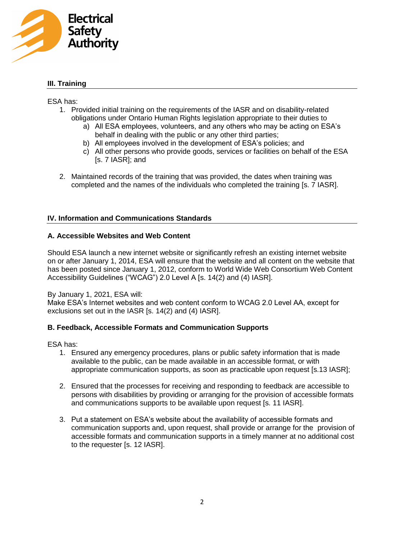

## **III. Training**

#### ESA has:

- 1. Provided initial training on the requirements of the IASR and on disability-related obligations under Ontario Human Rights legislation appropriate to their duties to
	- a) All ESA employees, volunteers, and any others who may be acting on ESA's behalf in dealing with the public or any other third parties;
	- b) All employees involved in the development of ESA's policies; and
	- c) All other persons who provide goods, services or facilities on behalf of the ESA [s. 7 IASR]; and
- 2. Maintained records of the training that was provided, the dates when training was completed and the names of the individuals who completed the training [s. 7 IASR].

#### **IV. Information and Communications Standards**

#### **A. Accessible Websites and Web Content**

Should ESA launch a new internet website or significantly refresh an existing internet website on or after January 1, 2014, ESA will ensure that the website and all content on the website that has been posted since January 1, 2012, conform to World Wide Web Consortium Web Content Accessibility Guidelines ("WCAG") 2.0 Level A [s. 14(2) and (4) IASR].

#### By January 1, 2021, ESA will:

Make ESA's Internet websites and web content conform to WCAG 2.0 Level AA, except for exclusions set out in the IASR [s. 14(2) and (4) IASR].

## **B. Feedback, Accessible Formats and Communication Supports**

ESA has:

- 1. Ensured any emergency procedures, plans or public safety information that is made available to the public, can be made available in an accessible format, or with appropriate communication supports, as soon as practicable upon request [s.13 IASR];
- 2. Ensured that the processes for receiving and responding to feedback are accessible to persons with disabilities by providing or arranging for the provision of accessible formats and communications supports to be available upon request [s. 11 IASR].
- 3. Put a statement on ESA's website about the availability of accessible formats and communication supports and, upon request, shall provide or arrange for the provision of accessible formats and communication supports in a timely manner at no additional cost to the requester [s. 12 IASR].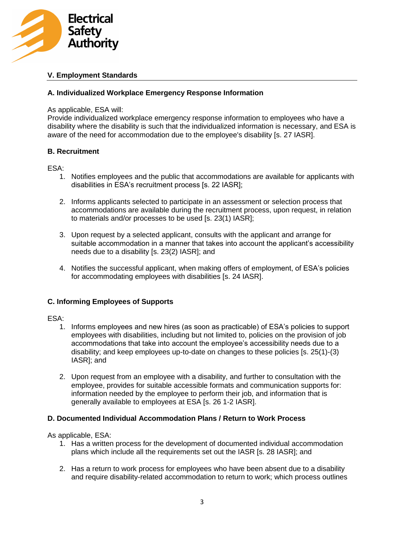

## **V. Employment Standards**

## **A. Individualized Workplace Emergency Response Information**

#### As applicable, ESA will:

Provide individualized workplace emergency response information to employees who have a disability where the disability is such that the individualized information is necessary, and ESA is aware of the need for accommodation due to the employee's disability [s. 27 IASR].

#### **B. Recruitment**

#### ESA:

- 1. Notifies employees and the public that accommodations are available for applicants with disabilities in ESA's recruitment process [s. 22 IASR];
- 2. Informs applicants selected to participate in an assessment or selection process that accommodations are available during the recruitment process, upon request, in relation to materials and/or processes to be used [s. 23(1) IASR];
- 3. Upon request by a selected applicant, consults with the applicant and arrange for suitable accommodation in a manner that takes into account the applicant's accessibility needs due to a disability [s. 23(2) IASR]; and
- 4. Notifies the successful applicant, when making offers of employment, of ESA's policies for accommodating employees with disabilities [s. 24 IASR].

## **C. Informing Employees of Supports**

#### ESA:

- 1. Informs employees and new hires (as soon as practicable) of ESA's policies to support employees with disabilities, including but not limited to, policies on the provision of job accommodations that take into account the employee's accessibility needs due to a disability; and keep employees up-to-date on changes to these policies [s. 25(1)-(3) IASR]; and
- 2. Upon request from an employee with a disability, and further to consultation with the employee, provides for suitable accessible formats and communication supports for: information needed by the employee to perform their job, and information that is generally available to employees at ESA [s. 26 1-2 IASR].

## **D. Documented Individual Accommodation Plans / Return to Work Process**

As applicable, ESA:

- 1. Has a written process for the development of documented individual accommodation plans which include all the requirements set out the IASR [s. 28 IASR]; and
- 2. Has a return to work process for employees who have been absent due to a disability and require disability-related accommodation to return to work; which process outlines